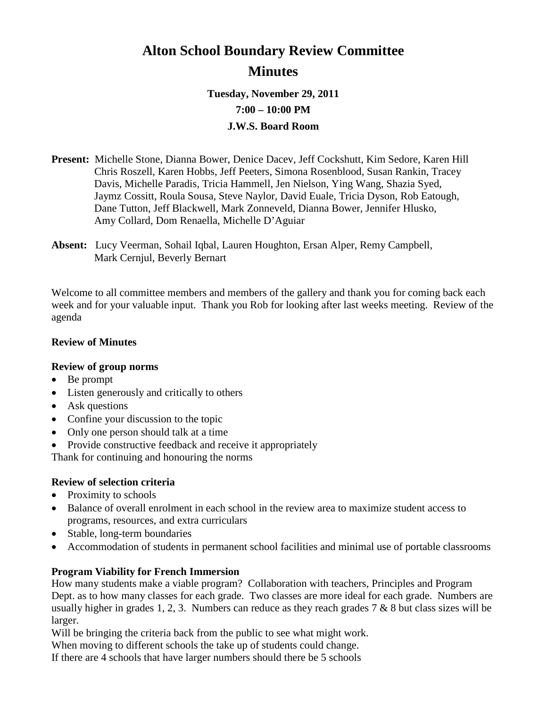# **Alton School Boundary Review Committee Minutes**

**Tuesday, November 29, 2011**

**7:00 – 10:00 PM**

# **J.W.S. Board Room**

- **Present:** Michelle Stone, Dianna Bower, Denice Dacev, Jeff Cockshutt, Kim Sedore, Karen Hill Chris Roszell, Karen Hobbs, Jeff Peeters, Simona Rosenblood, Susan Rankin, Tracey Davis, Michelle Paradis, Tricia Hammell, Jen Nielson, Ying Wang, Shazia Syed, Jaymz Cossitt, Roula Sousa, Steve Naylor, David Euale, Tricia Dyson, Rob Eatough, Dane Tutton, Jeff Blackwell, Mark Zonneveld, Dianna Bower, Jennifer Hlusko, Amy Collard, Dom Renaella, Michelle D'Aguiar
- **Absent:** Lucy Veerman, Sohail Iqbal, Lauren Houghton, Ersan Alper, Remy Campbell, Mark Cernjul, Beverly Bernart

Welcome to all committee members and members of the gallery and thank you for coming back each week and for your valuable input. Thank you Rob for looking after last weeks meeting. Review of the agenda

# **Review of Minutes**

# **Review of group norms**

- Be prompt
- Listen generously and critically to others
- Ask questions
- Confine your discussion to the topic
- Only one person should talk at a time
- Provide constructive feedback and receive it appropriately

Thank for continuing and honouring the norms

# **Review of selection criteria**

- Proximity to schools
- Balance of overall enrolment in each school in the review area to maximize student access to programs, resources, and extra curriculars
- Stable, long-term boundaries
- Accommodation of students in permanent school facilities and minimal use of portable classrooms

# **Program Viability for French Immersion**

How many students make a viable program? Collaboration with teachers, Principles and Program Dept. as to how many classes for each grade. Two classes are more ideal for each grade. Numbers are usually higher in grades 1, 2, 3. Numbers can reduce as they reach grades  $7 & 8 & 8$  but class sizes will be larger.

Will be bringing the criteria back from the public to see what might work.

When moving to different schools the take up of students could change.

If there are 4 schools that have larger numbers should there be 5 schools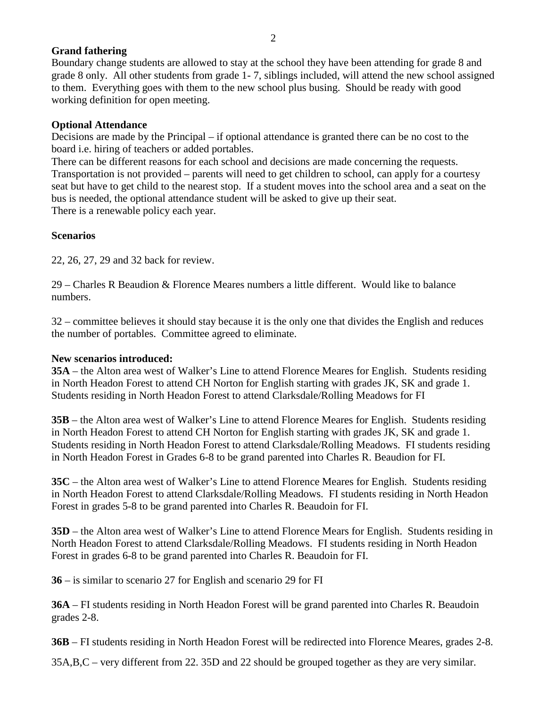# **Grand fathering**

Boundary change students are allowed to stay at the school they have been attending for grade 8 and grade 8 only. All other students from grade 1- 7, siblings included, will attend the new school assigned to them. Everything goes with them to the new school plus busing. Should be ready with good working definition for open meeting.

# **Optional Attendance**

Decisions are made by the Principal – if optional attendance is granted there can be no cost to the board i.e. hiring of teachers or added portables.

There can be different reasons for each school and decisions are made concerning the requests. Transportation is not provided – parents will need to get children to school, can apply for a courtesy seat but have to get child to the nearest stop. If a student moves into the school area and a seat on the bus is needed, the optional attendance student will be asked to give up their seat. There is a renewable policy each year.

#### **Scenarios**

22, 26, 27, 29 and 32 back for review.

29 – Charles R Beaudion & Florence Meares numbers a little different. Would like to balance numbers.

32 – committee believes it should stay because it is the only one that divides the English and reduces the number of portables. Committee agreed to eliminate.

#### **New scenarios introduced:**

**35A** – the Alton area west of Walker's Line to attend Florence Meares for English. Students residing in North Headon Forest to attend CH Norton for English starting with grades JK, SK and grade 1. Students residing in North Headon Forest to attend Clarksdale/Rolling Meadows for FI

**35B** – the Alton area west of Walker's Line to attend Florence Meares for English. Students residing in North Headon Forest to attend CH Norton for English starting with grades JK, SK and grade 1. Students residing in North Headon Forest to attend Clarksdale/Rolling Meadows. FI students residing in North Headon Forest in Grades 6-8 to be grand parented into Charles R. Beaudion for FI.

**35C** – the Alton area west of Walker's Line to attend Florence Meares for English. Students residing in North Headon Forest to attend Clarksdale/Rolling Meadows. FI students residing in North Headon Forest in grades 5-8 to be grand parented into Charles R. Beaudoin for FI.

**35D** – the Alton area west of Walker's Line to attend Florence Mears for English. Students residing in North Headon Forest to attend Clarksdale/Rolling Meadows. FI students residing in North Headon Forest in grades 6-8 to be grand parented into Charles R. Beaudoin for FI.

**36** – is similar to scenario 27 for English and scenario 29 for FI

**36A** – FI students residing in North Headon Forest will be grand parented into Charles R. Beaudoin grades 2-8.

**36B** – FI students residing in North Headon Forest will be redirected into Florence Meares, grades 2-8.

35A,B,C – very different from 22. 35D and 22 should be grouped together as they are very similar.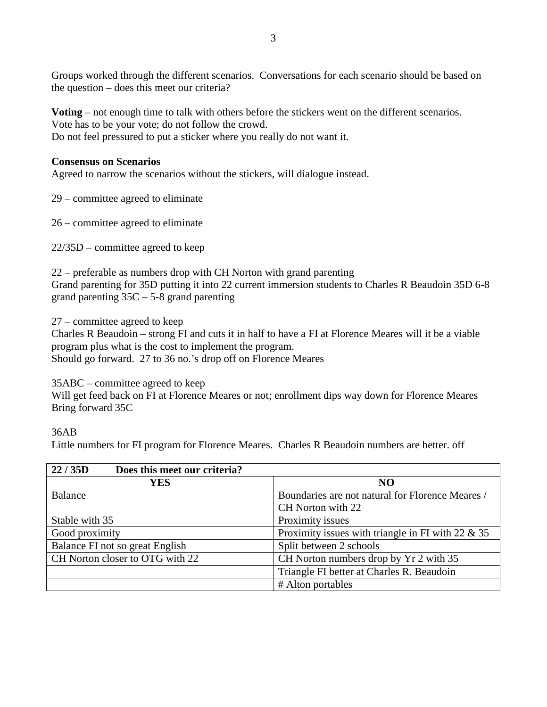Groups worked through the different scenarios. Conversations for each scenario should be based on the question – does this meet our criteria?

**Voting** – not enough time to talk with others before the stickers went on the different scenarios. Vote has to be your vote; do not follow the crowd.

Do not feel pressured to put a sticker where you really do not want it.

## **Consensus on Scenarios**

Agreed to narrow the scenarios without the stickers, will dialogue instead.

29 – committee agreed to eliminate

26 – committee agreed to eliminate

22/35D – committee agreed to keep

22 – preferable as numbers drop with CH Norton with grand parenting Grand parenting for 35D putting it into 22 current immersion students to Charles R Beaudoin 35D 6-8 grand parenting  $35C - 5-8$  grand parenting

27 – committee agreed to keep

Charles R Beaudoin – strong FI and cuts it in half to have a FI at Florence Meares will it be a viable program plus what is the cost to implement the program. Should go forward. 27 to 36 no.'s drop off on Florence Meares

35ABC – committee agreed to keep

Will get feed back on FI at Florence Meares or not; enrollment dips way down for Florence Meares Bring forward 35C

## 36AB

Little numbers for FI program for Florence Meares. Charles R Beaudoin numbers are better. off

| 22/35D<br>Does this meet our criteria? |                                                      |
|----------------------------------------|------------------------------------------------------|
| <b>YES</b>                             | <b>NO</b>                                            |
| Balance                                | Boundaries are not natural for Florence Meares /     |
|                                        | CH Norton with 22                                    |
| Stable with 35                         | Proximity issues                                     |
| Good proximity                         | Proximity issues with triangle in FI with 22 $\&$ 35 |
| Balance FI not so great English        | Split between 2 schools                              |
| CH Norton closer to OTG with 22        | CH Norton numbers drop by Yr 2 with 35               |
|                                        | Triangle FI better at Charles R. Beaudoin            |
|                                        | # Alton portables                                    |